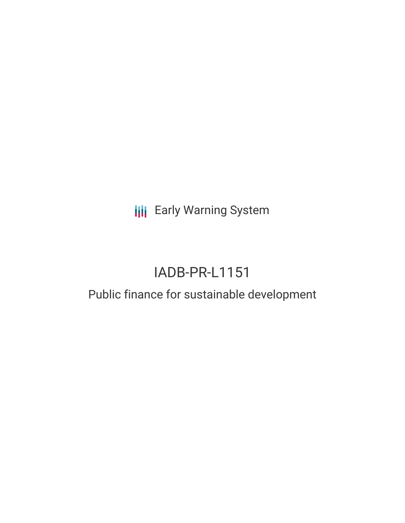**III** Early Warning System

# IADB-PR-L1151

### Public finance for sustainable development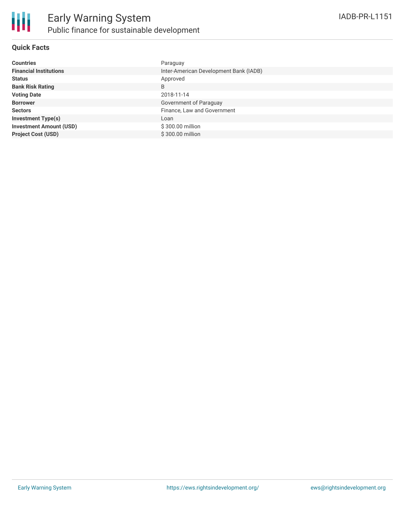

#### **Quick Facts**

| <b>Countries</b>               | Paraguay                               |
|--------------------------------|----------------------------------------|
| <b>Financial Institutions</b>  | Inter-American Development Bank (IADB) |
| <b>Status</b>                  | Approved                               |
| <b>Bank Risk Rating</b>        | B                                      |
| <b>Voting Date</b>             | 2018-11-14                             |
| <b>Borrower</b>                | Government of Paraguay                 |
| <b>Sectors</b>                 | Finance, Law and Government            |
| <b>Investment Type(s)</b>      | Loan                                   |
| <b>Investment Amount (USD)</b> | \$300.00 million                       |
| <b>Project Cost (USD)</b>      | \$300.00 million                       |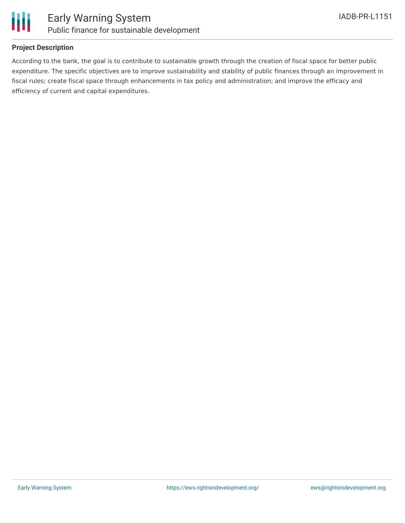



#### **Project Description**

According to the bank, the goal is to contribute to sustainable growth through the creation of fiscal space for better public expenditure. The specific objectives are to improve sustainability and stability of public finances through an improvement in fiscal rules; create fiscal space through enhancements in tax policy and administration; and improve the efficacy and efficiency of current and capital expenditures.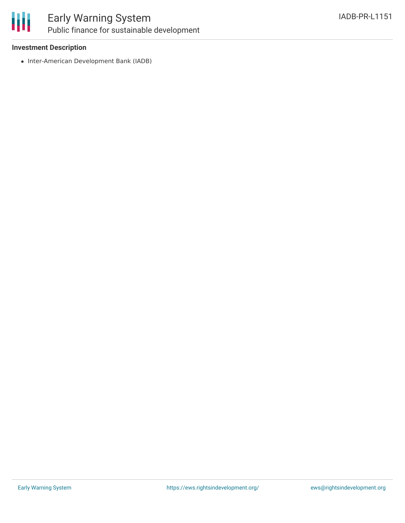

### Early Warning System Public finance for sustainable development

#### **Investment Description**

• Inter-American Development Bank (IADB)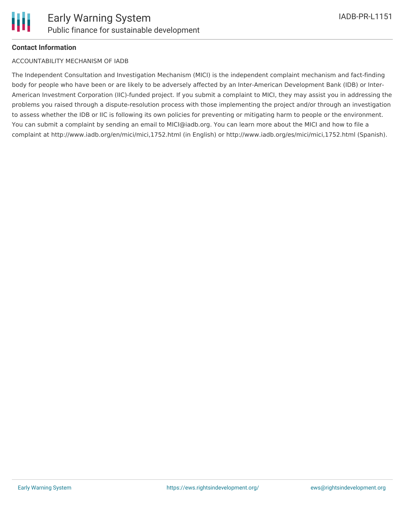

#### **Contact Information**

#### ACCOUNTABILITY MECHANISM OF IADB

The Independent Consultation and Investigation Mechanism (MICI) is the independent complaint mechanism and fact-finding body for people who have been or are likely to be adversely affected by an Inter-American Development Bank (IDB) or Inter-American Investment Corporation (IIC)-funded project. If you submit a complaint to MICI, they may assist you in addressing the problems you raised through a dispute-resolution process with those implementing the project and/or through an investigation to assess whether the IDB or IIC is following its own policies for preventing or mitigating harm to people or the environment. You can submit a complaint by sending an email to MICI@iadb.org. You can learn more about the MICI and how to file a complaint at http://www.iadb.org/en/mici/mici,1752.html (in English) or http://www.iadb.org/es/mici/mici,1752.html (Spanish).